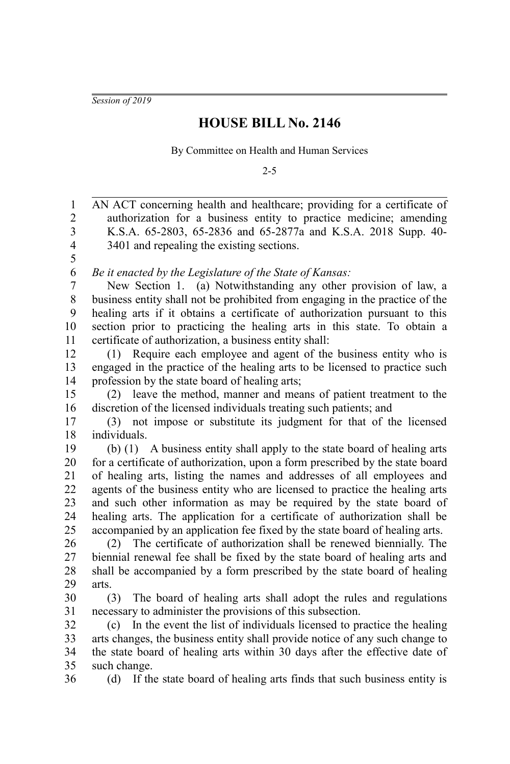*Session of 2019*

## **HOUSE BILL No. 2146**

By Committee on Health and Human Services

2-5

AN ACT concerning health and healthcare; providing for a certificate of authorization for a business entity to practice medicine; amending K.S.A. 65-2803, 65-2836 and 65-2877a and K.S.A. 2018 Supp. 40- 3401 and repealing the existing sections. *Be it enacted by the Legislature of the State of Kansas:* New Section 1. (a) Notwithstanding any other provision of law, a business entity shall not be prohibited from engaging in the practice of the healing arts if it obtains a certificate of authorization pursuant to this section prior to practicing the healing arts in this state. To obtain a certificate of authorization, a business entity shall: (1) Require each employee and agent of the business entity who is engaged in the practice of the healing arts to be licensed to practice such profession by the state board of healing arts; (2) leave the method, manner and means of patient treatment to the discretion of the licensed individuals treating such patients; and (3) not impose or substitute its judgment for that of the licensed individuals. (b) (1) A business entity shall apply to the state board of healing arts for a certificate of authorization, upon a form prescribed by the state board of healing arts, listing the names and addresses of all employees and agents of the business entity who are licensed to practice the healing arts and such other information as may be required by the state board of healing arts. The application for a certificate of authorization shall be accompanied by an application fee fixed by the state board of healing arts. (2) The certificate of authorization shall be renewed biennially. The biennial renewal fee shall be fixed by the state board of healing arts and shall be accompanied by a form prescribed by the state board of healing arts. (3) The board of healing arts shall adopt the rules and regulations necessary to administer the provisions of this subsection. (c) In the event the list of individuals licensed to practice the healing arts changes, the business entity shall provide notice of any such change to the state board of healing arts within 30 days after the effective date of such change. (d) If the state board of healing arts finds that such business entity is 1 2 3 4 5 6 7 8 9 10 11 12 13 14 15 16 17 18 19 20 21 22 23 24 25 26 27 28 29 30 31 32 33 34 35 36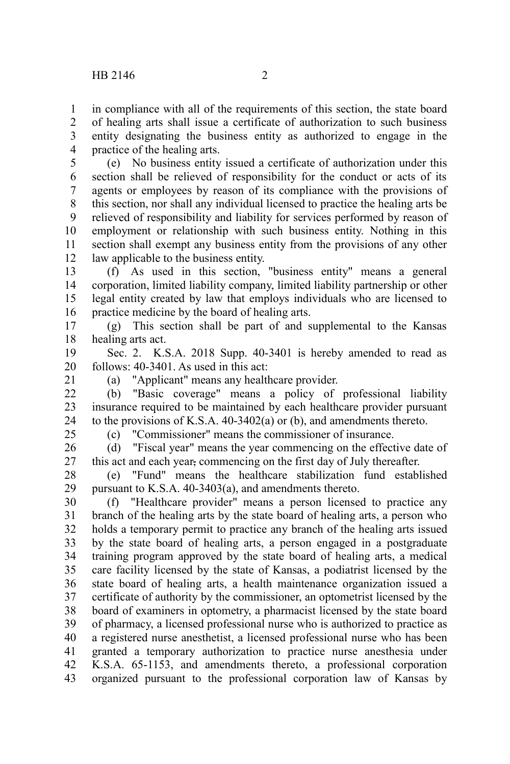in compliance with all of the requirements of this section, the state board of healing arts shall issue a certificate of authorization to such business entity designating the business entity as authorized to engage in the practice of the healing arts. 1 2 3 4

(e) No business entity issued a certificate of authorization under this section shall be relieved of responsibility for the conduct or acts of its agents or employees by reason of its compliance with the provisions of this section, nor shall any individual licensed to practice the healing arts be relieved of responsibility and liability for services performed by reason of employment or relationship with such business entity. Nothing in this section shall exempt any business entity from the provisions of any other law applicable to the business entity. 5 6 7 8 9 10 11 12

(f) As used in this section, "business entity" means a general corporation, limited liability company, limited liability partnership or other legal entity created by law that employs individuals who are licensed to practice medicine by the board of healing arts. 13 14 15 16

(g) This section shall be part of and supplemental to the Kansas healing arts act. 17 18

Sec. 2. K.S.A. 2018 Supp. 40-3401 is hereby amended to read as follows: 40-3401. As used in this act: 19 20

21

(a) "Applicant" means any healthcare provider.

(b) "Basic coverage" means a policy of professional liability insurance required to be maintained by each healthcare provider pursuant to the provisions of K.S.A. 40-3402(a) or (b), and amendments thereto. 22 23 24

25

(c) "Commissioner" means the commissioner of insurance.

(d) "Fiscal year" means the year commencing on the effective date of this act and each year, commencing on the first day of July thereafter. 26 27

(e) "Fund" means the healthcare stabilization fund established pursuant to K.S.A. 40-3403(a), and amendments thereto. 28 29

(f) "Healthcare provider" means a person licensed to practice any branch of the healing arts by the state board of healing arts, a person who holds a temporary permit to practice any branch of the healing arts issued by the state board of healing arts, a person engaged in a postgraduate training program approved by the state board of healing arts, a medical care facility licensed by the state of Kansas, a podiatrist licensed by the state board of healing arts, a health maintenance organization issued a certificate of authority by the commissioner, an optometrist licensed by the board of examiners in optometry, a pharmacist licensed by the state board of pharmacy, a licensed professional nurse who is authorized to practice as a registered nurse anesthetist, a licensed professional nurse who has been granted a temporary authorization to practice nurse anesthesia under K.S.A. 65-1153, and amendments thereto, a professional corporation organized pursuant to the professional corporation law of Kansas by 30 31 32 33 34 35 36 37 38 39 40 41 42 43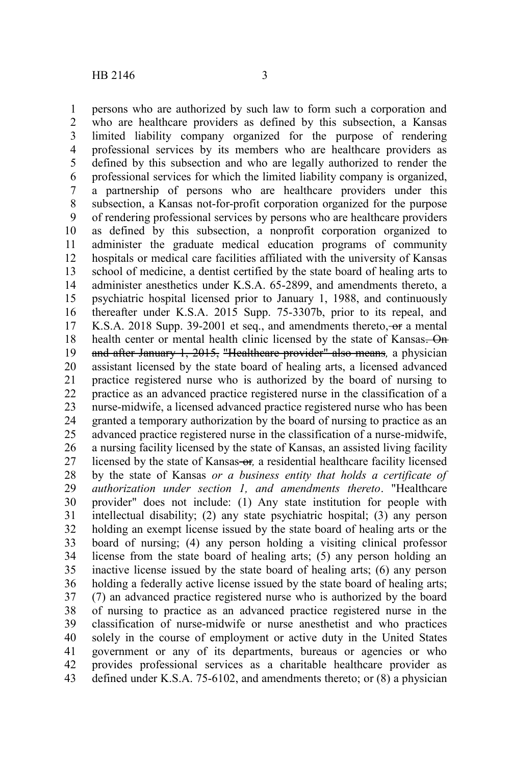persons who are authorized by such law to form such a corporation and who are healthcare providers as defined by this subsection, a Kansas limited liability company organized for the purpose of rendering professional services by its members who are healthcare providers as defined by this subsection and who are legally authorized to render the professional services for which the limited liability company is organized, a partnership of persons who are healthcare providers under this subsection, a Kansas not-for-profit corporation organized for the purpose of rendering professional services by persons who are healthcare providers as defined by this subsection, a nonprofit corporation organized to administer the graduate medical education programs of community hospitals or medical care facilities affiliated with the university of Kansas school of medicine, a dentist certified by the state board of healing arts to administer anesthetics under K.S.A. 65-2899, and amendments thereto, a psychiatric hospital licensed prior to January 1, 1988, and continuously thereafter under K.S.A. 2015 Supp. 75-3307b, prior to its repeal, and K.S.A. 2018 Supp. 39-2001 et seq., and amendments thereto, or a mental health center or mental health clinic licensed by the state of Kansas. On and after January 1, 2015, "Healthcare provider" also means*,* a physician assistant licensed by the state board of healing arts, a licensed advanced practice registered nurse who is authorized by the board of nursing to practice as an advanced practice registered nurse in the classification of a nurse-midwife, a licensed advanced practice registered nurse who has been granted a temporary authorization by the board of nursing to practice as an advanced practice registered nurse in the classification of a nurse-midwife, a nursing facility licensed by the state of Kansas, an assisted living facility licensed by the state of Kansas-or, a residential healthcare facility licensed by the state of Kansas *or a business entity that holds a certificate of authorization under section 1, and amendments thereto*. "Healthcare provider" does not include: (1) Any state institution for people with intellectual disability; (2) any state psychiatric hospital; (3) any person holding an exempt license issued by the state board of healing arts or the board of nursing; (4) any person holding a visiting clinical professor license from the state board of healing arts; (5) any person holding an inactive license issued by the state board of healing arts; (6) any person holding a federally active license issued by the state board of healing arts; (7) an advanced practice registered nurse who is authorized by the board of nursing to practice as an advanced practice registered nurse in the classification of nurse-midwife or nurse anesthetist and who practices solely in the course of employment or active duty in the United States government or any of its departments, bureaus or agencies or who provides professional services as a charitable healthcare provider as defined under K.S.A. 75-6102, and amendments thereto; or (8) a physician 1 2 3 4 5 6 7 8 9 10 11 12 13 14 15 16 17 18 19 20 21 22 23 24 25 26 27 28 29 30 31 32 33 34 35 36 37 38 39 40 41 42 43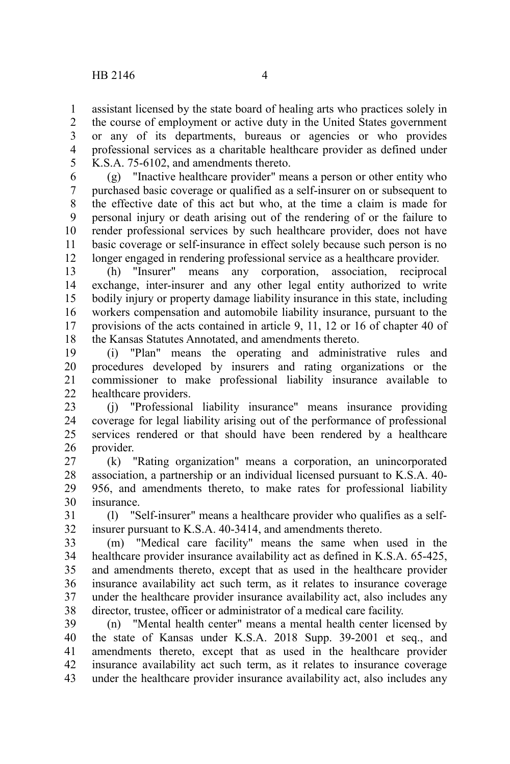assistant licensed by the state board of healing arts who practices solely in the course of employment or active duty in the United States government or any of its departments, bureaus or agencies or who provides professional services as a charitable healthcare provider as defined under K.S.A. 75-6102, and amendments thereto. 1 2 3 4 5

(g) "Inactive healthcare provider" means a person or other entity who purchased basic coverage or qualified as a self-insurer on or subsequent to the effective date of this act but who, at the time a claim is made for personal injury or death arising out of the rendering of or the failure to render professional services by such healthcare provider, does not have basic coverage or self-insurance in effect solely because such person is no longer engaged in rendering professional service as a healthcare provider. 6 7 8 9 10 11 12

(h) "Insurer" means any corporation, association, reciprocal exchange, inter-insurer and any other legal entity authorized to write bodily injury or property damage liability insurance in this state, including workers compensation and automobile liability insurance, pursuant to the provisions of the acts contained in article 9, 11, 12 or 16 of chapter 40 of the Kansas Statutes Annotated, and amendments thereto. 13 14 15 16 17 18

(i) "Plan" means the operating and administrative rules and procedures developed by insurers and rating organizations or the commissioner to make professional liability insurance available to healthcare providers. 19 20 21 22

(j) "Professional liability insurance" means insurance providing coverage for legal liability arising out of the performance of professional services rendered or that should have been rendered by a healthcare provider. 23 24 25 26

(k) "Rating organization" means a corporation, an unincorporated association, a partnership or an individual licensed pursuant to K.S.A. 40- 956, and amendments thereto, to make rates for professional liability insurance. 27 28 29 30

(l) "Self-insurer" means a healthcare provider who qualifies as a selfinsurer pursuant to K.S.A. 40-3414, and amendments thereto. 31 32

(m) "Medical care facility" means the same when used in the healthcare provider insurance availability act as defined in K.S.A. 65-425, and amendments thereto, except that as used in the healthcare provider insurance availability act such term, as it relates to insurance coverage under the healthcare provider insurance availability act, also includes any director, trustee, officer or administrator of a medical care facility. 33 34 35 36 37 38

(n) "Mental health center" means a mental health center licensed by the state of Kansas under K.S.A. 2018 Supp. 39-2001 et seq., and amendments thereto, except that as used in the healthcare provider insurance availability act such term, as it relates to insurance coverage under the healthcare provider insurance availability act, also includes any 39 40 41 42 43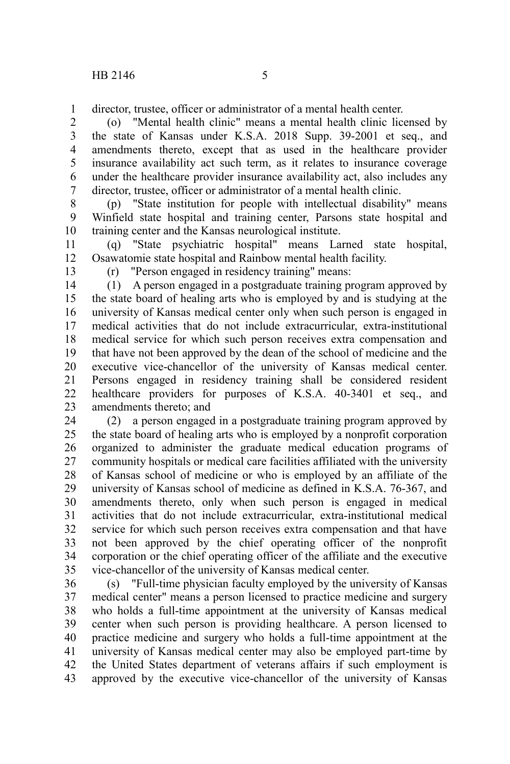director, trustee, officer or administrator of a mental health center. 1

(o) "Mental health clinic" means a mental health clinic licensed by the state of Kansas under K.S.A. 2018 Supp. 39-2001 et seq., and amendments thereto, except that as used in the healthcare provider insurance availability act such term, as it relates to insurance coverage under the healthcare provider insurance availability act, also includes any director, trustee, officer or administrator of a mental health clinic. 2 3 4 5 6 7

(p) "State institution for people with intellectual disability" means Winfield state hospital and training center, Parsons state hospital and training center and the Kansas neurological institute. 8 9 10

(q) "State psychiatric hospital" means Larned state hospital, Osawatomie state hospital and Rainbow mental health facility. 11 12

13

(r) "Person engaged in residency training" means:

(1) A person engaged in a postgraduate training program approved by the state board of healing arts who is employed by and is studying at the university of Kansas medical center only when such person is engaged in medical activities that do not include extracurricular, extra-institutional medical service for which such person receives extra compensation and that have not been approved by the dean of the school of medicine and the executive vice-chancellor of the university of Kansas medical center. Persons engaged in residency training shall be considered resident healthcare providers for purposes of K.S.A. 40-3401 et seq., and amendments thereto; and 14 15 16 17 18 19 20 21 22 23

(2) a person engaged in a postgraduate training program approved by the state board of healing arts who is employed by a nonprofit corporation organized to administer the graduate medical education programs of community hospitals or medical care facilities affiliated with the university of Kansas school of medicine or who is employed by an affiliate of the university of Kansas school of medicine as defined in K.S.A. 76-367, and amendments thereto, only when such person is engaged in medical activities that do not include extracurricular, extra-institutional medical service for which such person receives extra compensation and that have not been approved by the chief operating officer of the nonprofit corporation or the chief operating officer of the affiliate and the executive vice-chancellor of the university of Kansas medical center. 24 25 26 27 28 29 30 31 32 33 34 35

(s) "Full-time physician faculty employed by the university of Kansas medical center" means a person licensed to practice medicine and surgery who holds a full-time appointment at the university of Kansas medical center when such person is providing healthcare. A person licensed to practice medicine and surgery who holds a full-time appointment at the university of Kansas medical center may also be employed part-time by the United States department of veterans affairs if such employment is approved by the executive vice-chancellor of the university of Kansas 36 37 38 39 40 41 42 43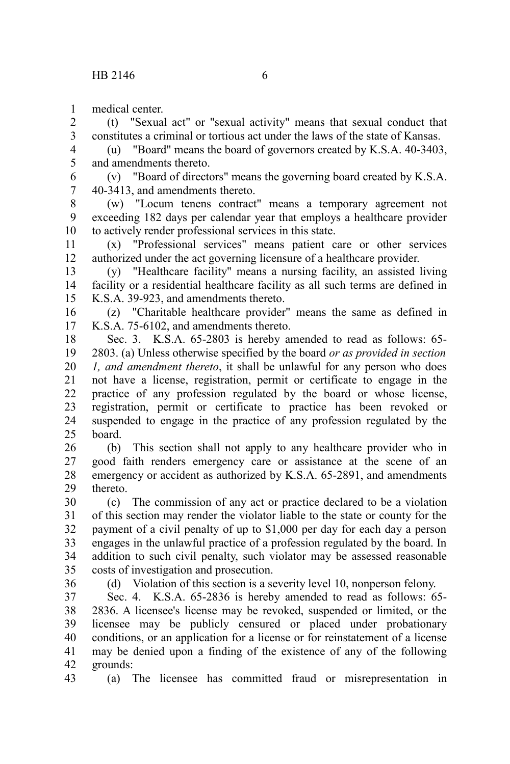medical center. 1

(t) "Sexual act" or "sexual activity" means that sexual conduct that constitutes a criminal or tortious act under the laws of the state of Kansas. 2 3

(u) "Board" means the board of governors created by K.S.A. 40-3403, and amendments thereto. 4 5

(v) "Board of directors" means the governing board created by K.S.A. 40-3413, and amendments thereto. 6 7

(w) "Locum tenens contract" means a temporary agreement not exceeding 182 days per calendar year that employs a healthcare provider to actively render professional services in this state. 8 9 10

(x) "Professional services" means patient care or other services authorized under the act governing licensure of a healthcare provider. 11 12

(y) "Healthcare facility" means a nursing facility, an assisted living facility or a residential healthcare facility as all such terms are defined in K.S.A. 39-923, and amendments thereto. 13 14 15

(z) "Charitable healthcare provider" means the same as defined in K.S.A. 75-6102, and amendments thereto. 16 17

Sec. 3. K.S.A. 65-2803 is hereby amended to read as follows: 65- 2803. (a) Unless otherwise specified by the board *or as provided in section 1, and amendment thereto*, it shall be unlawful for any person who does not have a license, registration, permit or certificate to engage in the practice of any profession regulated by the board or whose license, registration, permit or certificate to practice has been revoked or suspended to engage in the practice of any profession regulated by the board. 18 19 20 21 22 23 24  $25$ 

(b) This section shall not apply to any healthcare provider who in good faith renders emergency care or assistance at the scene of an emergency or accident as authorized by K.S.A. 65-2891, and amendments thereto. 26 27 28 29

(c) The commission of any act or practice declared to be a violation of this section may render the violator liable to the state or county for the payment of a civil penalty of up to \$1,000 per day for each day a person engages in the unlawful practice of a profession regulated by the board. In addition to such civil penalty, such violator may be assessed reasonable costs of investigation and prosecution. 30 31 32 33 34 35

36

(d) Violation of this section is a severity level 10, nonperson felony.

Sec. 4. K.S.A. 65-2836 is hereby amended to read as follows: 65- 2836. A licensee's license may be revoked, suspended or limited, or the licensee may be publicly censured or placed under probationary conditions, or an application for a license or for reinstatement of a license may be denied upon a finding of the existence of any of the following grounds: 37 38 39 40 41 42

(a) The licensee has committed fraud or misrepresentation in 43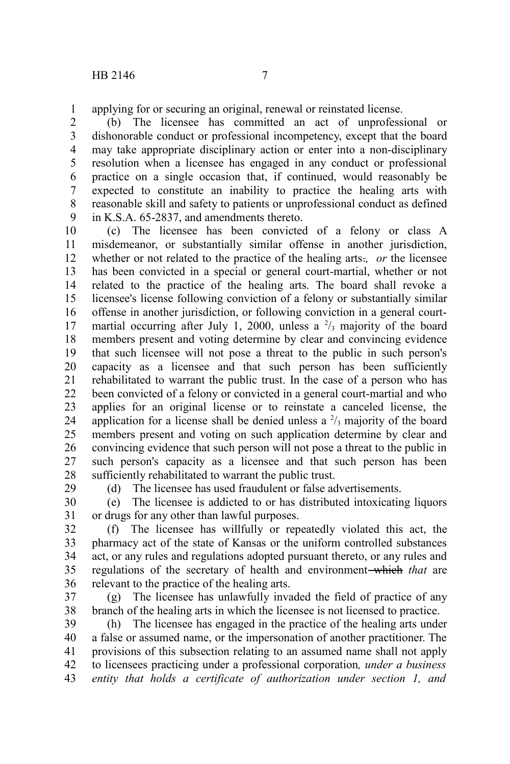applying for or securing an original, renewal or reinstated license. 1

(b) The licensee has committed an act of unprofessional or dishonorable conduct or professional incompetency, except that the board may take appropriate disciplinary action or enter into a non-disciplinary resolution when a licensee has engaged in any conduct or professional practice on a single occasion that, if continued, would reasonably be expected to constitute an inability to practice the healing arts with reasonable skill and safety to patients or unprofessional conduct as defined in K.S.A. 65-2837, and amendments thereto. 2 3 4 5 6 7 8 9

(c) The licensee has been convicted of a felony or class A misdemeanor, or substantially similar offense in another jurisdiction, whether or not related to the practice of the healing arts.*, or* the licensee has been convicted in a special or general court-martial, whether or not related to the practice of the healing arts. The board shall revoke a licensee's license following conviction of a felony or substantially similar offense in another jurisdiction, or following conviction in a general courtmartial occurring after July 1, 2000, unless a  $\frac{2}{3}$  majority of the board members present and voting determine by clear and convincing evidence that such licensee will not pose a threat to the public in such person's capacity as a licensee and that such person has been sufficiently rehabilitated to warrant the public trust. In the case of a person who has been convicted of a felony or convicted in a general court-martial and who applies for an original license or to reinstate a canceled license, the application for a license shall be denied unless a  $\frac{2}{3}$  majority of the board members present and voting on such application determine by clear and convincing evidence that such person will not pose a threat to the public in such person's capacity as a licensee and that such person has been sufficiently rehabilitated to warrant the public trust. 10 11 12 13 14 15 16 17 18 19 20 21 22 23 24 25 26 27 28 29

(d) The licensee has used fraudulent or false advertisements.

(e) The licensee is addicted to or has distributed intoxicating liquors or drugs for any other than lawful purposes. 30 31

(f) The licensee has willfully or repeatedly violated this act, the pharmacy act of the state of Kansas or the uniform controlled substances act, or any rules and regulations adopted pursuant thereto, or any rules and regulations of the secretary of health and environment-which that are relevant to the practice of the healing arts. 32 33 34 35 36

(g) The licensee has unlawfully invaded the field of practice of any branch of the healing arts in which the licensee is not licensed to practice. 37 38

(h) The licensee has engaged in the practice of the healing arts under a false or assumed name, or the impersonation of another practitioner. The provisions of this subsection relating to an assumed name shall not apply to licensees practicing under a professional corporation*, under a business entity that holds a certificate of authorization under section 1, and* 39 40 41 42 43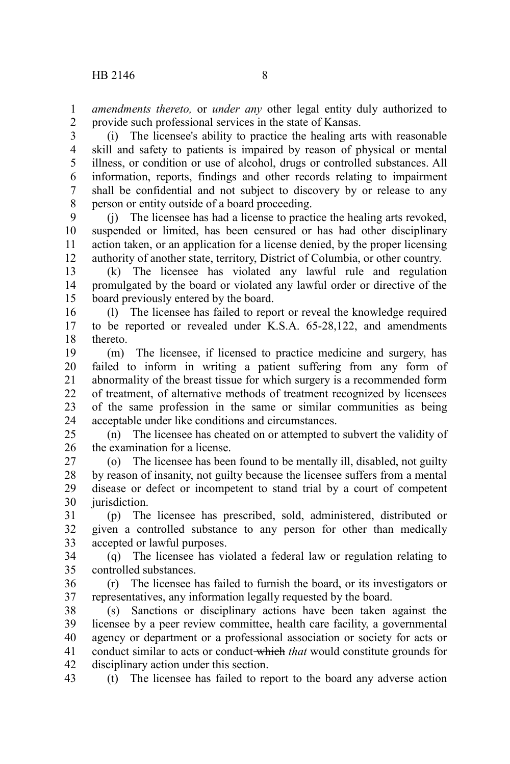*amendments thereto,* or *under any* other legal entity duly authorized to provide such professional services in the state of Kansas. 1 2

(i) The licensee's ability to practice the healing arts with reasonable skill and safety to patients is impaired by reason of physical or mental illness, or condition or use of alcohol, drugs or controlled substances. All information, reports, findings and other records relating to impairment shall be confidential and not subject to discovery by or release to any person or entity outside of a board proceeding. 3 4 5 6 7 8

(j) The licensee has had a license to practice the healing arts revoked, suspended or limited, has been censured or has had other disciplinary action taken, or an application for a license denied, by the proper licensing authority of another state, territory, District of Columbia, or other country.  $\mathbf{Q}$ 10 11 12

(k) The licensee has violated any lawful rule and regulation promulgated by the board or violated any lawful order or directive of the board previously entered by the board. 13 14 15

(l) The licensee has failed to report or reveal the knowledge required to be reported or revealed under K.S.A. 65-28,122, and amendments thereto. 16 17 18

(m) The licensee, if licensed to practice medicine and surgery, has failed to inform in writing a patient suffering from any form of abnormality of the breast tissue for which surgery is a recommended form of treatment, of alternative methods of treatment recognized by licensees of the same profession in the same or similar communities as being acceptable under like conditions and circumstances. 19 20 21 22 23 24

(n) The licensee has cheated on or attempted to subvert the validity of the examination for a license. 25 26

(o) The licensee has been found to be mentally ill, disabled, not guilty by reason of insanity, not guilty because the licensee suffers from a mental disease or defect or incompetent to stand trial by a court of competent jurisdiction. 27 28 29 30

(p) The licensee has prescribed, sold, administered, distributed or given a controlled substance to any person for other than medically accepted or lawful purposes. 31 32 33

(q) The licensee has violated a federal law or regulation relating to controlled substances. 34 35

(r) The licensee has failed to furnish the board, or its investigators or representatives, any information legally requested by the board. 36 37

(s) Sanctions or disciplinary actions have been taken against the licensee by a peer review committee, health care facility, a governmental agency or department or a professional association or society for acts or conduct similar to acts or conduct which *that* would constitute grounds for disciplinary action under this section. 38 39 40 41 42

(t) The licensee has failed to report to the board any adverse action 43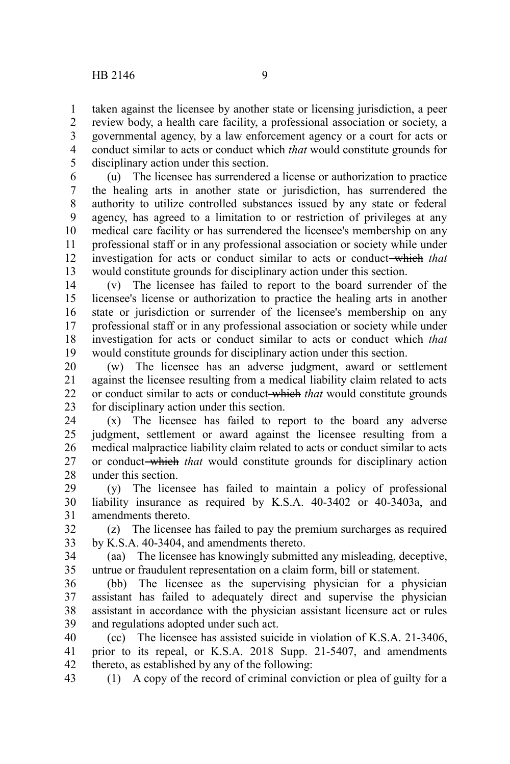taken against the licensee by another state or licensing jurisdiction, a peer review body, a health care facility, a professional association or society, a governmental agency, by a law enforcement agency or a court for acts or conduct similar to acts or conduct which *that* would constitute grounds for disciplinary action under this section. 1 2 3 4 5

(u) The licensee has surrendered a license or authorization to practice the healing arts in another state or jurisdiction, has surrendered the authority to utilize controlled substances issued by any state or federal agency, has agreed to a limitation to or restriction of privileges at any medical care facility or has surrendered the licensee's membership on any professional staff or in any professional association or society while under investigation for acts or conduct similar to acts or conduct which *that* would constitute grounds for disciplinary action under this section. 6 7 8 9 10 11 12 13

(v) The licensee has failed to report to the board surrender of the licensee's license or authorization to practice the healing arts in another state or jurisdiction or surrender of the licensee's membership on any professional staff or in any professional association or society while under investigation for acts or conduct similar to acts or conduct which *that* would constitute grounds for disciplinary action under this section. 14 15 16 17 18 19

(w) The licensee has an adverse judgment, award or settlement against the licensee resulting from a medical liability claim related to acts or conduct similar to acts or conduct which *that* would constitute grounds for disciplinary action under this section. 20 21 22 23

(x) The licensee has failed to report to the board any adverse judgment, settlement or award against the licensee resulting from a medical malpractice liability claim related to acts or conduct similar to acts or conduct which *that* would constitute grounds for disciplinary action under this section. 24 25 26 27 28

(y) The licensee has failed to maintain a policy of professional liability insurance as required by K.S.A. 40-3402 or 40-3403a, and amendments thereto. 29 30 31

(z) The licensee has failed to pay the premium surcharges as required by K.S.A. 40-3404, and amendments thereto. 32 33

(aa) The licensee has knowingly submitted any misleading, deceptive, untrue or fraudulent representation on a claim form, bill or statement. 34 35

(bb) The licensee as the supervising physician for a physician assistant has failed to adequately direct and supervise the physician assistant in accordance with the physician assistant licensure act or rules and regulations adopted under such act. 36 37 38 39

(cc) The licensee has assisted suicide in violation of K.S.A. 21-3406, prior to its repeal, or K.S.A. 2018 Supp. 21-5407, and amendments thereto, as established by any of the following: 40 41 42

(1) A copy of the record of criminal conviction or plea of guilty for a 43